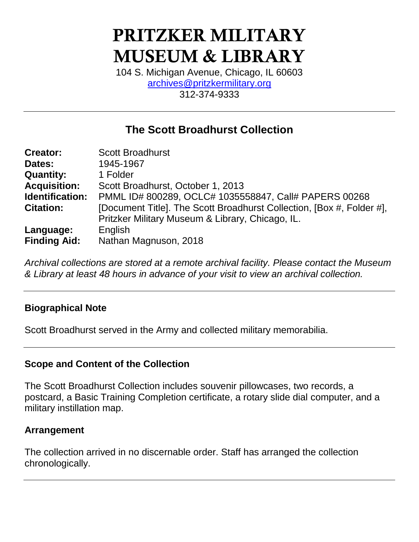# **PRITZKER MILITARY MUSEUM & LIBRARY**

104 S. Michigan Avenue, Chicago, IL 60603 [archives@pritzkermilitary.org](mailto:archives@pritzkermilitary.org) 312-374-9333

# **The Scott Broadhurst Collection**

| <b>Creator:</b>     | <b>Scott Broadhurst</b>                                               |  |  |  |
|---------------------|-----------------------------------------------------------------------|--|--|--|
| Dates:              | 1945-1967                                                             |  |  |  |
| <b>Quantity:</b>    | 1 Folder                                                              |  |  |  |
| <b>Acquisition:</b> | Scott Broadhurst, October 1, 2013                                     |  |  |  |
| Identification:     | PMML ID# 800289, OCLC# 1035558847, Call# PAPERS 00268                 |  |  |  |
| <b>Citation:</b>    | [Document Title]. The Scott Broadhurst Collection, [Box #, Folder #], |  |  |  |
|                     | Pritzker Military Museum & Library, Chicago, IL.                      |  |  |  |
| Language:           | English                                                               |  |  |  |
| <b>Finding Aid:</b> | Nathan Magnuson, 2018                                                 |  |  |  |

*Archival collections are stored at a remote archival facility. Please contact the Museum & Library at least 48 hours in advance of your visit to view an archival collection.*

## **Biographical Note**

Scott Broadhurst served in the Army and collected military memorabilia.

## **Scope and Content of the Collection**

The Scott Broadhurst Collection includes souvenir pillowcases, two records, a postcard, a Basic Training Completion certificate, a rotary slide dial computer, and a military instillation map.

### **Arrangement**

The collection arrived in no discernable order. Staff has arranged the collection chronologically.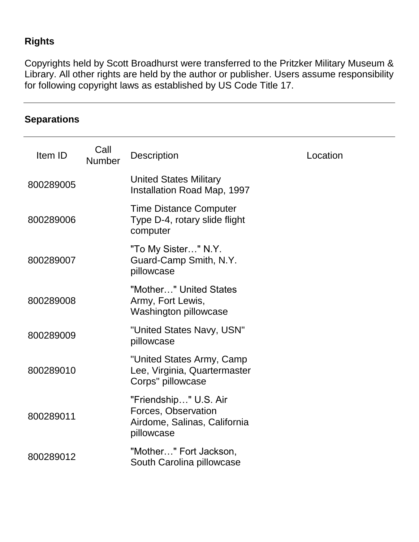# **Rights**

**Separations**

Copyrights held by Scott Broadhurst were transferred to the Pritzker Military Museum & Library. All other rights are held by the author or publisher. Users assume responsibility for following copyright laws as established by US Code Title 17.

| Item ID   | Call<br>Number | <b>Description</b>                                                                         | Location |
|-----------|----------------|--------------------------------------------------------------------------------------------|----------|
| 800289005 |                | <b>United States Military</b><br>Installation Road Map, 1997                               |          |
| 800289006 |                | <b>Time Distance Computer</b><br>Type D-4, rotary slide flight<br>computer                 |          |
| 800289007 |                | "To My Sister" N.Y.<br>Guard-Camp Smith, N.Y.<br>pillowcase                                |          |
| 800289008 |                | "Mother" United States<br>Army, Fort Lewis,<br>Washington pillowcase                       |          |
| 800289009 |                | "United States Navy, USN"<br>pillowcase                                                    |          |
| 800289010 |                | "United States Army, Camp<br>Lee, Virginia, Quartermaster<br>Corps" pillowcase             |          |
| 800289011 |                | "Friendship" U.S. Air<br>Forces, Observation<br>Airdome, Salinas, California<br>pillowcase |          |
| 800289012 |                | "Mother" Fort Jackson,<br>South Carolina pillowcase                                        |          |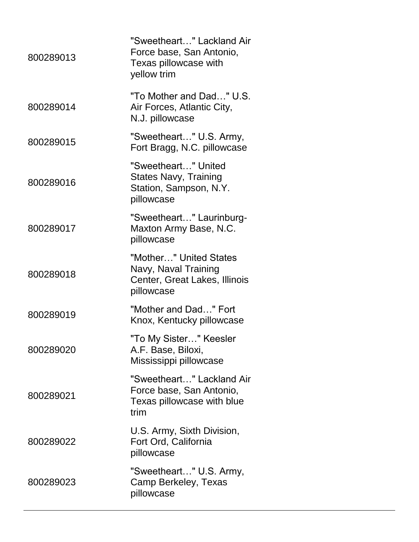| "Sweetheart" Lackland Air<br>Force base, San Antonio,<br>Texas pillowcase with<br>yellow trim |
|-----------------------------------------------------------------------------------------------|
| "To Mother and Dad" U.S.<br>Air Forces, Atlantic City,<br>N.J. pillowcase                     |
| "Sweetheart" U.S. Army,<br>Fort Bragg, N.C. pillowcase                                        |
| "Sweetheart" United<br><b>States Navy, Training</b><br>Station, Sampson, N.Y.<br>pillowcase   |
| "Sweetheart" Laurinburg-<br>Maxton Army Base, N.C.<br>pillowcase                              |
| "Mother" United States<br>Navy, Naval Training<br>Center, Great Lakes, Illinois<br>pillowcase |
| "Mother and Dad" Fort<br>Knox, Kentucky pillowcase                                            |
| "To My Sister" Keesler<br>A.F. Base, Biloxi,<br>Mississippi pillowcase                        |
| "Sweetheart" Lackland Air<br>Force base, San Antonio,<br>Texas pillowcase with blue<br>trim   |
| U.S. Army, Sixth Division,<br>Fort Ord, California<br>pillowcase                              |
| "Sweetheart" U.S. Army,<br>Camp Berkeley, Texas<br>pillowcase                                 |
|                                                                                               |